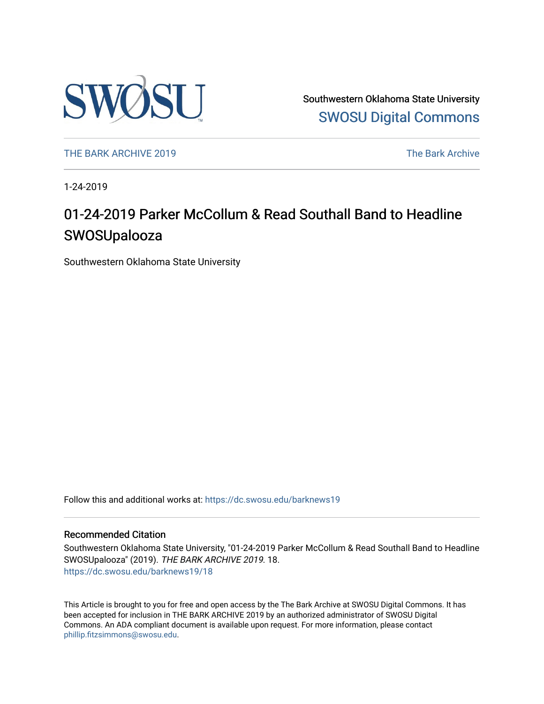

Southwestern Oklahoma State University [SWOSU Digital Commons](https://dc.swosu.edu/) 

[THE BARK ARCHIVE 2019](https://dc.swosu.edu/barknews19) The Bark Archive

1-24-2019

# 01-24-2019 Parker McCollum & Read Southall Band to Headline **SWOSUpalooza**

Southwestern Oklahoma State University

Follow this and additional works at: [https://dc.swosu.edu/barknews19](https://dc.swosu.edu/barknews19?utm_source=dc.swosu.edu%2Fbarknews19%2F18&utm_medium=PDF&utm_campaign=PDFCoverPages)

#### Recommended Citation

Southwestern Oklahoma State University, "01-24-2019 Parker McCollum & Read Southall Band to Headline SWOSUpalooza" (2019). THE BARK ARCHIVE 2019. 18. [https://dc.swosu.edu/barknews19/18](https://dc.swosu.edu/barknews19/18?utm_source=dc.swosu.edu%2Fbarknews19%2F18&utm_medium=PDF&utm_campaign=PDFCoverPages) 

This Article is brought to you for free and open access by the The Bark Archive at SWOSU Digital Commons. It has been accepted for inclusion in THE BARK ARCHIVE 2019 by an authorized administrator of SWOSU Digital Commons. An ADA compliant document is available upon request. For more information, please contact [phillip.fitzsimmons@swosu.edu](mailto:phillip.fitzsimmons@swosu.edu).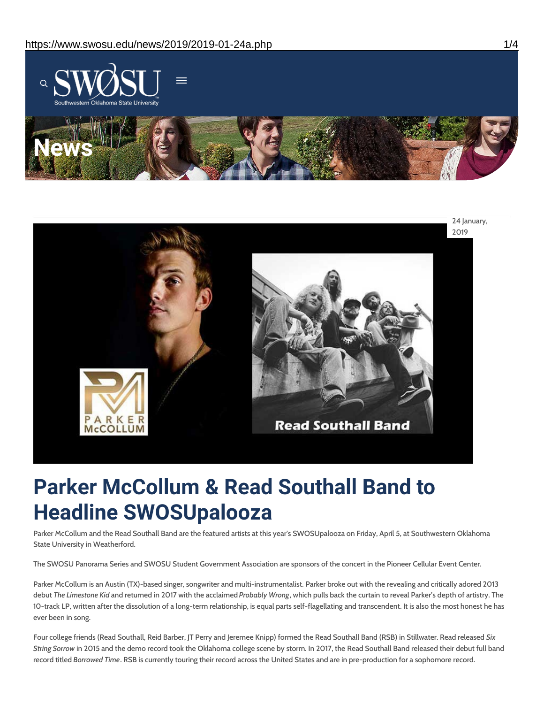



# **Parker McCollum & Read Southall Band to Headline SWOSUpalooza**

Parker McCollum and the Read Southall Band are the featured artists at this year's SWOSUpalooza on Friday, April 5, at Southwestern Oklahoma State University in Weatherford.

The SWOSU Panorama Series and SWOSU Student Government Association are sponsors of the concert in the Pioneer Cellular Event Center.

Parker McCollum is an Austin (TX)-based singer, songwriter and multi-instrumentalist. Parker broke out with the revealing and critically adored 2013 debut *The Limestone Kid* and returned in 2017 with the acclaimed *Probably Wrong*, which pulls back the curtain to reveal Parker's depth of artistry. The 10-track LP, written after the dissolution of a long-term relationship, is equal parts self-flagellating and transcendent. It is also the most honest he has ever been in song.

Four college friends (Read Southall, Reid Barber, JT Perry and Jeremee Knipp) formed the Read Southall Band (RSB) in Stillwater. Read released *Six String Sorrow* in 2015 and the demo record took the Oklahoma college scene by storm. In 2017, the Read Southall Band released their debut full band record titled *Borrowed Time*. RSB is currently touring their record across the United States and are in pre-production for a sophomore record.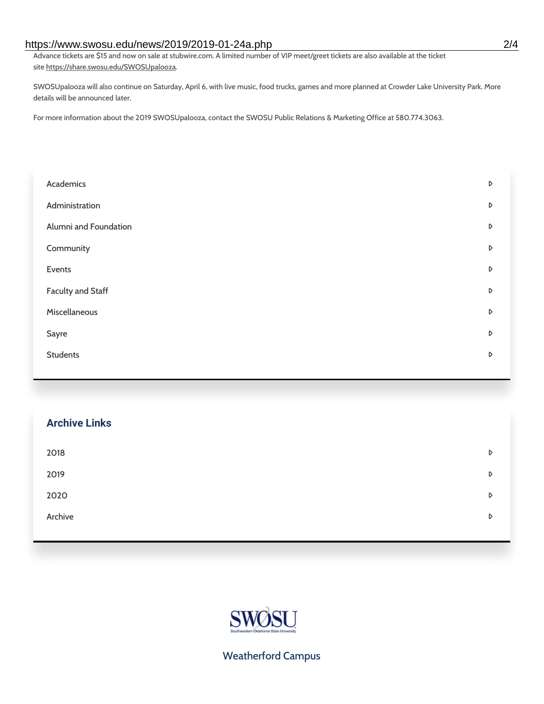#### https://www.swosu.edu/news/2019/2019-01-24a.php 2/4

Advance tickets are \$15 and now on sale at stubwire.com. A limited number of VIP meet/greet tickets are also available at the ticket site https://share.swosu.edu/SWOSUpalooza.

SWOSUpalooza will also continue on Saturday, April 6, with live music, food trucks, games and more planned at Crowder Lake University Park. More details will be announced later.

For more information about the 2019 SWOSUpalooza, contact the SWOSU Public Relations & Marketing Office at 580.774.3063.

| Academics                | D                |
|--------------------------|------------------|
| Administration           | $\triangleright$ |
| Alumni and Foundation    | $\triangleright$ |
| Community                | D                |
| Events                   | D                |
| <b>Faculty and Staff</b> | $\triangleright$ |
| Miscellaneous            | $\triangleright$ |
| Sayre                    | D                |
| <b>Students</b>          | D                |
|                          |                  |

### **Archive Links**

| 2018    | D |
|---------|---|
| 2019    | D |
| 2020    | D |
| Archive | D |

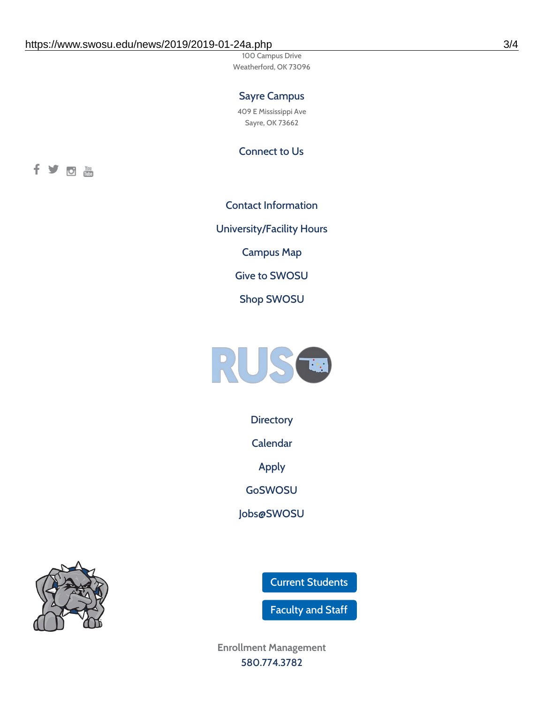100 Campus Drive Weatherford, OK 73096

## Sayre Campus

409 E Mississippi Ave Sayre, OK 73662

Connect to Us



Contact [Information](https://www.swosu.edu/about/contact.php) [University/Facility](https://www.swosu.edu/about/operating-hours.php) Hours [Campus](https://map.concept3d.com/?id=768#!ct/10964,10214,10213,10212,10205,10204,10203,10202,10136,10129,10128,0,31226,10130,10201,10641,0) Map Give to [SWOSU](https://standingfirmly.com/donate) Shop [SWOSU](https://shopswosu.merchorders.com/)



**[Directory](https://www.swosu.edu/directory/index.php)** 

[Calendar](https://eventpublisher.dudesolutions.com/swosu/)

[Apply](https://www.swosu.edu/admissions/apply-to-swosu.php)

[GoSWOSU](https://qlsso.quicklaunchsso.com/home/1267)

[Jobs@SWOSU](https://swosu.csod.com/ux/ats/careersite/1/home?c=swosu)

Current [Students](https://bulldog.swosu.edu/index.php)

[Faculty](https://bulldog.swosu.edu/faculty-staff/index.php) and Staff

**Enrollment Management** [580.774.3782](tel:5807743782)